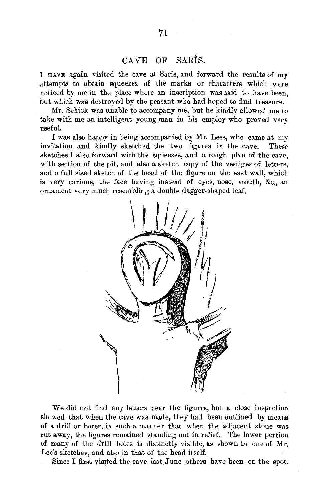## CAVE OF SARiS.

I HAVE agajn visited the cave at Saris, and forward the results of my attempts to obtain squeezes of the marks or characters which were noticed by me in the place where an inscription was said to have been, but which was destroyed by the peasant who had hoped to find treasure.

Mr. Schick was unable to accompany me, but he kindly allowed me to take with me an intelligent young man in his employ who proved very useful.

I was also happy in being accompanied by Mr. Lees, who came at my invitation and kindly sketched the two figures in the cave. These sketches I also forward with the squeezes, and a rough plan of the cave, with section of the pit, and also a sketch copy of the vestiges of letters, and a full sized sketch of the head of the figure on the east wall, which is very curious, the face having instead of eyes, nose, mouth, &c., an ornament very much resembling a double dagger-shaped leaf.



We did not find any letters near the figures, but a close inspection showed that when the cave was made, they had been outlined by means of a drill or borer, in such a manner that when the adjacent stone was cut away, the figures remained standing out in relief. The lower portion of many of the drill holes is distinctly visible, as shown in one of Mr. Lee's sketches, and also in that of the head itself.

Since I first visited the cave last, June others have been on the spot.